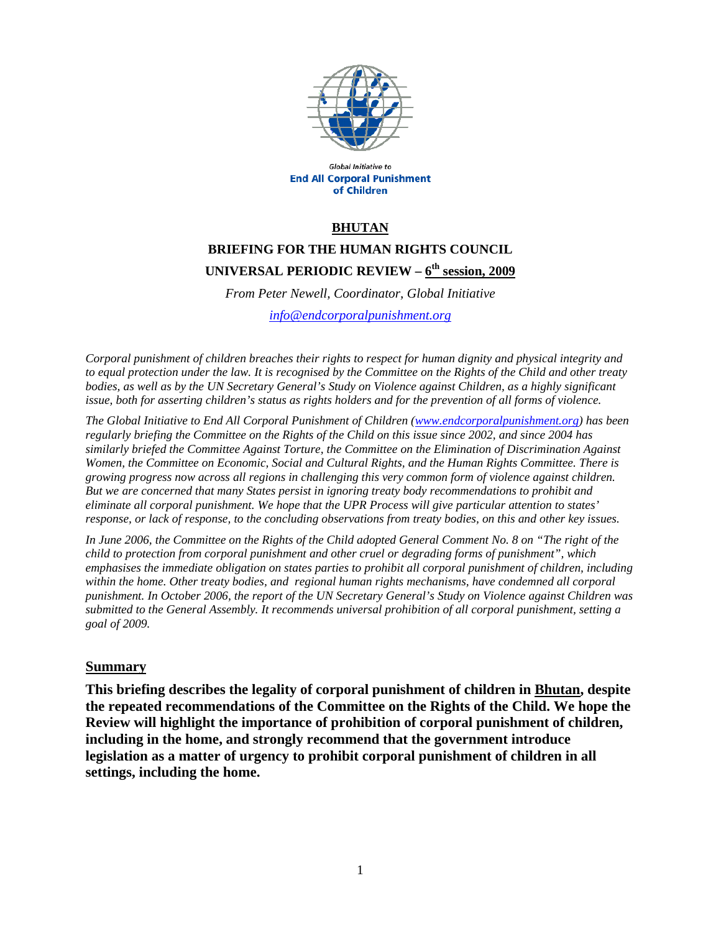

Global Initiative to **End All Corporal Punishment** of Children

#### **BHUTAN**

# **BRIEFING FOR THE HUMAN RIGHTS COUNCIL UNIVERSAL PERIODIC REVIEW – 6th session, 2009**

*From Peter Newell, Coordinator, Global Initiative* 

*info@endcorporalpunishment.org*

*Corporal punishment of children breaches their rights to respect for human dignity and physical integrity and to equal protection under the law. It is recognised by the Committee on the Rights of the Child and other treaty bodies, as well as by the UN Secretary General's Study on Violence against Children, as a highly significant issue, both for asserting children's status as rights holders and for the prevention of all forms of violence.* 

*The Global Initiative to End All Corporal Punishment of Children (www.endcorporalpunishment.org) has been regularly briefing the Committee on the Rights of the Child on this issue since 2002, and since 2004 has similarly briefed the Committee Against Torture, the Committee on the Elimination of Discrimination Against Women, the Committee on Economic, Social and Cultural Rights, and the Human Rights Committee. There is growing progress now across all regions in challenging this very common form of violence against children. But we are concerned that many States persist in ignoring treaty body recommendations to prohibit and eliminate all corporal punishment. We hope that the UPR Process will give particular attention to states' response, or lack of response, to the concluding observations from treaty bodies, on this and other key issues.* 

*In June 2006, the Committee on the Rights of the Child adopted General Comment No. 8 on "The right of the child to protection from corporal punishment and other cruel or degrading forms of punishment", which emphasises the immediate obligation on states parties to prohibit all corporal punishment of children, including*  within the home. Other treaty bodies, and regional human rights mechanisms, have condemned all corporal *punishment. In October 2006, the report of the UN Secretary General's Study on Violence against Children was submitted to the General Assembly. It recommends universal prohibition of all corporal punishment, setting a goal of 2009.*

#### **Summary**

**This briefing describes the legality of corporal punishment of children in Bhutan, despite the repeated recommendations of the Committee on the Rights of the Child. We hope the Review will highlight the importance of prohibition of corporal punishment of children, including in the home, and strongly recommend that the government introduce legislation as a matter of urgency to prohibit corporal punishment of children in all settings, including the home.**